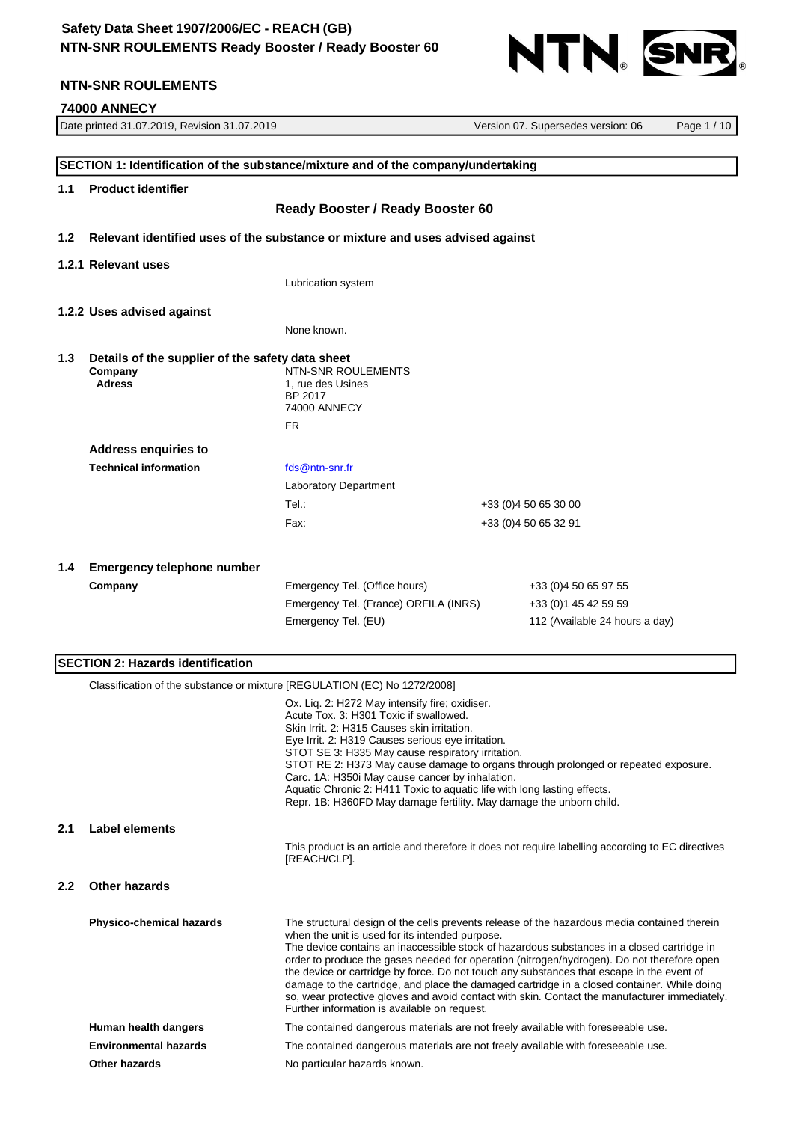# **Safety Data Sheet 1907/2006/EC - REACH (GB) NTN-SNR ROULEMENTS Ready Booster / Ready Booster 60**



# **NTN-SNR ROULEMENTS**

# **74000 ANNECY**<br>Date printed 31.07.2019. Revision 31.07.2019

|                  | Date printed 31.07.2019, Revision 31.07.2019                                                                                                                                             |                                                                                                                                                 | Version 07. Supersedes version: 06                                                                | Page 1 / 10 |
|------------------|------------------------------------------------------------------------------------------------------------------------------------------------------------------------------------------|-------------------------------------------------------------------------------------------------------------------------------------------------|---------------------------------------------------------------------------------------------------|-------------|
|                  |                                                                                                                                                                                          |                                                                                                                                                 |                                                                                                   |             |
|                  | SECTION 1: Identification of the substance/mixture and of the company/undertaking                                                                                                        |                                                                                                                                                 |                                                                                                   |             |
| 1.1              | <b>Product identifier</b>                                                                                                                                                                |                                                                                                                                                 |                                                                                                   |             |
|                  |                                                                                                                                                                                          | Ready Booster / Ready Booster 60                                                                                                                |                                                                                                   |             |
|                  |                                                                                                                                                                                          |                                                                                                                                                 |                                                                                                   |             |
| 1.2              |                                                                                                                                                                                          | Relevant identified uses of the substance or mixture and uses advised against                                                                   |                                                                                                   |             |
|                  | 1.2.1 Relevant uses                                                                                                                                                                      |                                                                                                                                                 |                                                                                                   |             |
|                  | Lubrication system                                                                                                                                                                       |                                                                                                                                                 |                                                                                                   |             |
|                  |                                                                                                                                                                                          |                                                                                                                                                 |                                                                                                   |             |
|                  | 1.2.2 Uses advised against                                                                                                                                                               |                                                                                                                                                 |                                                                                                   |             |
|                  | None known.                                                                                                                                                                              |                                                                                                                                                 |                                                                                                   |             |
| 1.3              | Details of the supplier of the safety data sheet                                                                                                                                         |                                                                                                                                                 |                                                                                                   |             |
|                  | Company                                                                                                                                                                                  | NTN-SNR ROULEMENTS                                                                                                                              |                                                                                                   |             |
|                  | <b>Adress</b>                                                                                                                                                                            | 1, rue des Usines<br>BP 2017                                                                                                                    |                                                                                                   |             |
|                  |                                                                                                                                                                                          | 74000 ANNECY                                                                                                                                    |                                                                                                   |             |
|                  |                                                                                                                                                                                          | <b>FR</b>                                                                                                                                       |                                                                                                   |             |
|                  | <b>Address enquiries to</b>                                                                                                                                                              |                                                                                                                                                 |                                                                                                   |             |
|                  | <b>Technical information</b>                                                                                                                                                             | fds@ntn-snr.fr                                                                                                                                  |                                                                                                   |             |
|                  |                                                                                                                                                                                          | Laboratory Department                                                                                                                           |                                                                                                   |             |
|                  |                                                                                                                                                                                          | Tel.:                                                                                                                                           | +33 (0)4 50 65 30 00                                                                              |             |
|                  |                                                                                                                                                                                          | Fax:                                                                                                                                            | +33 (0)4 50 65 32 91                                                                              |             |
|                  |                                                                                                                                                                                          |                                                                                                                                                 |                                                                                                   |             |
| 1.4              | <b>Emergency telephone number</b>                                                                                                                                                        |                                                                                                                                                 |                                                                                                   |             |
|                  | Company                                                                                                                                                                                  | Emergency Tel. (Office hours)                                                                                                                   | +33 (0)4 50 65 97 55                                                                              |             |
|                  |                                                                                                                                                                                          | Emergency Tel. (France) ORFILA (INRS)                                                                                                           | +33 (0) 1 45 42 59 59                                                                             |             |
|                  |                                                                                                                                                                                          | Emergency Tel. (EU)                                                                                                                             | 112 (Available 24 hours a day)                                                                    |             |
|                  |                                                                                                                                                                                          |                                                                                                                                                 |                                                                                                   |             |
|                  | <b>SECTION 2: Hazards identification</b>                                                                                                                                                 |                                                                                                                                                 |                                                                                                   |             |
|                  | Classification of the substance or mixture [REGULATION (EC) No 1272/2008]                                                                                                                |                                                                                                                                                 |                                                                                                   |             |
|                  |                                                                                                                                                                                          | Ox. Liq. 2: H272 May intensify fire; oxidiser.                                                                                                  |                                                                                                   |             |
|                  |                                                                                                                                                                                          | Acute Tox. 3: H301 Toxic if swallowed.                                                                                                          |                                                                                                   |             |
|                  |                                                                                                                                                                                          | Skin Irrit. 2: H315 Causes skin irritation.<br>Eye Irrit. 2: H319 Causes serious eye irritation.                                                |                                                                                                   |             |
|                  |                                                                                                                                                                                          | STOT SE 3: H335 May cause respiratory irritation.                                                                                               |                                                                                                   |             |
|                  |                                                                                                                                                                                          | Carc. 1A: H350i May cause cancer by inhalation.                                                                                                 | STOT RE 2: H373 May cause damage to organs through prolonged or repeated exposure.                |             |
|                  |                                                                                                                                                                                          | Aquatic Chronic 2: H411 Toxic to aquatic life with long lasting effects.<br>Repr. 1B: H360FD May damage fertility. May damage the unborn child. |                                                                                                   |             |
|                  |                                                                                                                                                                                          |                                                                                                                                                 |                                                                                                   |             |
| 2.1              | Label elements                                                                                                                                                                           |                                                                                                                                                 |                                                                                                   |             |
|                  |                                                                                                                                                                                          | [REACH/CLP].                                                                                                                                    | This product is an article and therefore it does not require labelling according to EC directives |             |
|                  |                                                                                                                                                                                          |                                                                                                                                                 |                                                                                                   |             |
| $2.2\phantom{0}$ | <b>Other hazards</b>                                                                                                                                                                     |                                                                                                                                                 |                                                                                                   |             |
|                  |                                                                                                                                                                                          |                                                                                                                                                 |                                                                                                   |             |
|                  | Physico-chemical hazards                                                                                                                                                                 | when the unit is used for its intended purpose.                                                                                                 | The structural design of the cells prevents release of the hazardous media contained therein      |             |
|                  |                                                                                                                                                                                          |                                                                                                                                                 | The device contains an inaccessible stock of hazardous substances in a closed cartridge in        |             |
|                  |                                                                                                                                                                                          |                                                                                                                                                 | order to produce the gases needed for operation (nitrogen/hydrogen). Do not therefore open        |             |
|                  | the device or cartridge by force. Do not touch any substances that escape in the event of<br>damage to the cartridge, and place the damaged cartridge in a closed container. While doing |                                                                                                                                                 |                                                                                                   |             |
|                  |                                                                                                                                                                                          | Further information is available on request.                                                                                                    | so, wear protective gloves and avoid contact with skin. Contact the manufacturer immediately.     |             |
|                  | Human health dangers                                                                                                                                                                     |                                                                                                                                                 | The contained dangerous materials are not freely available with foreseeable use.                  |             |
|                  | <b>Environmental hazards</b>                                                                                                                                                             |                                                                                                                                                 | The contained dangerous materials are not freely available with foreseeable use.                  |             |
|                  | Other hazards                                                                                                                                                                            | No particular hazards known.                                                                                                                    |                                                                                                   |             |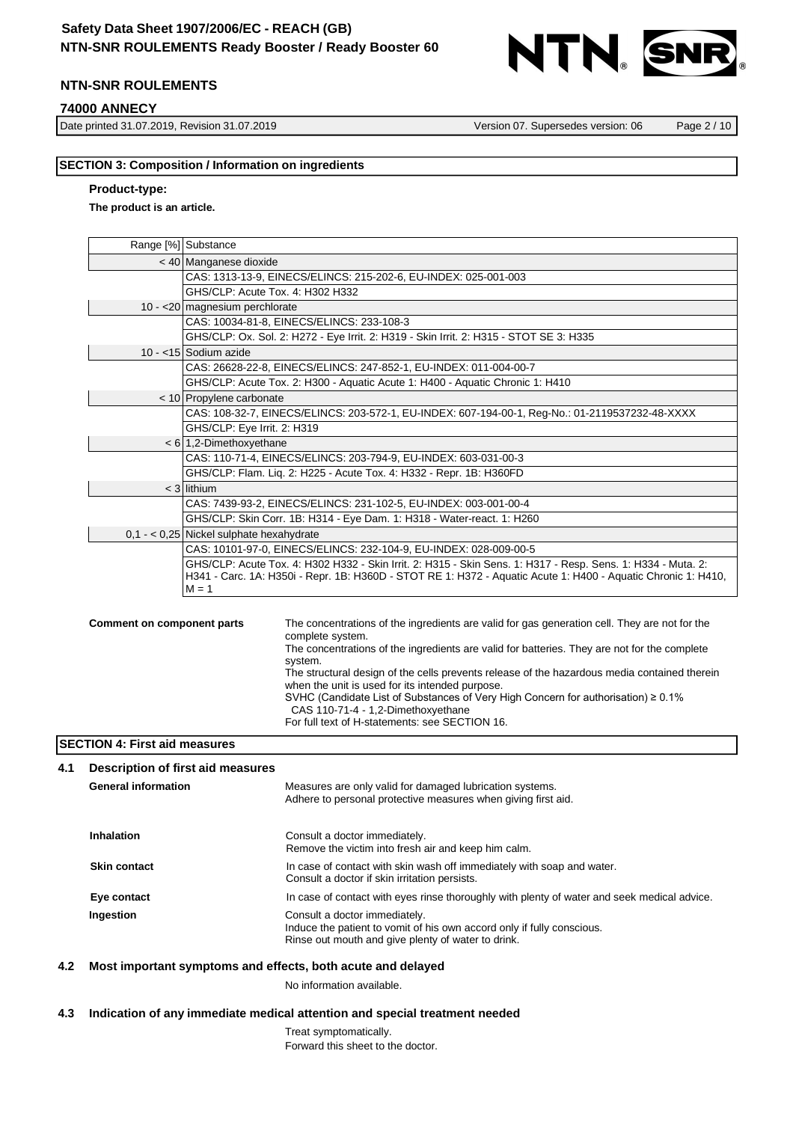

### **74000 ANNECY**

Date printed 31.07.2019, Revision 31.07.2019 Version 07. Supersedes version: 06 Page 2 / 10

### **SECTION 3: Composition / Information on ingredients**

### **Product-type:**

### **The product is an article.**

| Range [%] Substance                                                                             |                                                                                                                                                 |  |  |
|-------------------------------------------------------------------------------------------------|-------------------------------------------------------------------------------------------------------------------------------------------------|--|--|
|                                                                                                 | < 40 Manganese dioxide                                                                                                                          |  |  |
|                                                                                                 | CAS: 1313-13-9, EINECS/ELINCS: 215-202-6, EU-INDEX: 025-001-003                                                                                 |  |  |
|                                                                                                 | GHS/CLP: Acute Tox. 4: H302 H332                                                                                                                |  |  |
|                                                                                                 | 10 - < 20 magnesium perchlorate                                                                                                                 |  |  |
|                                                                                                 | CAS: 10034-81-8, EINECS/ELINCS: 233-108-3                                                                                                       |  |  |
|                                                                                                 | GHS/CLP: Ox. Sol. 2: H272 - Eye Irrit. 2: H319 - Skin Irrit. 2: H315 - STOT SE 3: H335                                                          |  |  |
|                                                                                                 | 10 - <15 Sodium azide                                                                                                                           |  |  |
|                                                                                                 | CAS: 26628-22-8, EINECS/ELINCS: 247-852-1, EU-INDEX: 011-004-00-7                                                                               |  |  |
|                                                                                                 | GHS/CLP: Acute Tox. 2: H300 - Aquatic Acute 1: H400 - Aquatic Chronic 1: H410                                                                   |  |  |
|                                                                                                 | < 10 Propylene carbonate                                                                                                                        |  |  |
| CAS: 108-32-7, EINECS/ELINCS: 203-572-1, EU-INDEX: 607-194-00-1, Reg-No.: 01-2119537232-48-XXXX |                                                                                                                                                 |  |  |
|                                                                                                 | GHS/CLP: Eye Irrit. 2: H319                                                                                                                     |  |  |
|                                                                                                 | $< 6$ 1,2-Dimethoxyethane                                                                                                                       |  |  |
| CAS: 110-71-4, EINECS/ELINCS: 203-794-9, EU-INDEX: 603-031-00-3                                 |                                                                                                                                                 |  |  |
|                                                                                                 | GHS/CLP: Flam. Liq. 2: H225 - Acute Tox. 4: H332 - Repr. 1B: H360FD                                                                             |  |  |
|                                                                                                 | $<$ 3 lithium                                                                                                                                   |  |  |
|                                                                                                 | CAS: 7439-93-2, EINECS/ELINCS: 231-102-5, EU-INDEX: 003-001-00-4                                                                                |  |  |
|                                                                                                 | GHS/CLP: Skin Corr. 1B: H314 - Eye Dam. 1: H318 - Water-react. 1: H260                                                                          |  |  |
|                                                                                                 | $0,1 - 0,25$ Nickel sulphate hexahydrate                                                                                                        |  |  |
|                                                                                                 | CAS: 10101-97-0, EINECS/ELINCS: 232-104-9, EU-INDEX: 028-009-00-5                                                                               |  |  |
|                                                                                                 | GHS/CLP: Acute Tox. 4: H302 H332 - Skin Irrit. 2: H315 - Skin Sens. 1: H317 - Resp. Sens. 1: H334 - Muta. 2:                                    |  |  |
|                                                                                                 | H341 - Carc. 1A: H350i - Repr. 1B: H360D - STOT RE 1: H372 - Aquatic Acute 1: H400 - Aquatic Chronic 1: H410,<br>$M = 1$                        |  |  |
|                                                                                                 |                                                                                                                                                 |  |  |
|                                                                                                 |                                                                                                                                                 |  |  |
| <b>Comment on component parts</b>                                                               | The concentrations of the ingredients are valid for gas generation cell. They are not for the<br>complete system.                               |  |  |
|                                                                                                 | The concentrations of the ingredients are valid for batteries. They are not for the complete<br>system.                                         |  |  |
|                                                                                                 | The structural design of the cells prevents release of the hazardous media contained therein<br>when the unit is used for its intended purpose. |  |  |
|                                                                                                 | SVHC (Candidate List of Substances of Very High Concern for authorisation) $\geq 0.1\%$<br>CAS 110-71-4 - 1,2-Dimethoxyethane                   |  |  |

For full text of H-statements: see SECTION 16.

### **SECTION 4: First aid measures**

| 4.1 | Description of first aid measures |                                                                                                                                                               |
|-----|-----------------------------------|---------------------------------------------------------------------------------------------------------------------------------------------------------------|
|     | <b>General information</b>        | Measures are only valid for damaged lubrication systems.<br>Adhere to personal protective measures when giving first aid.                                     |
|     | Inhalation                        | Consult a doctor immediately.<br>Remove the victim into fresh air and keep him calm.                                                                          |
|     | <b>Skin contact</b>               | In case of contact with skin wash off immediately with soap and water.<br>Consult a doctor if skin irritation persists.                                       |
|     | Eye contact                       | In case of contact with eyes rinse thoroughly with plenty of water and seek medical advice.                                                                   |
|     | Ingestion                         | Consult a doctor immediately.<br>Induce the patient to vomit of his own accord only if fully conscious.<br>Rinse out mouth and give plenty of water to drink. |

### **4.2 Most important symptoms and effects, both acute and delayed**

No information available.

### **4.3 Indication of any immediate medical attention and special treatment needed**

Treat symptomatically. Forward this sheet to the doctor.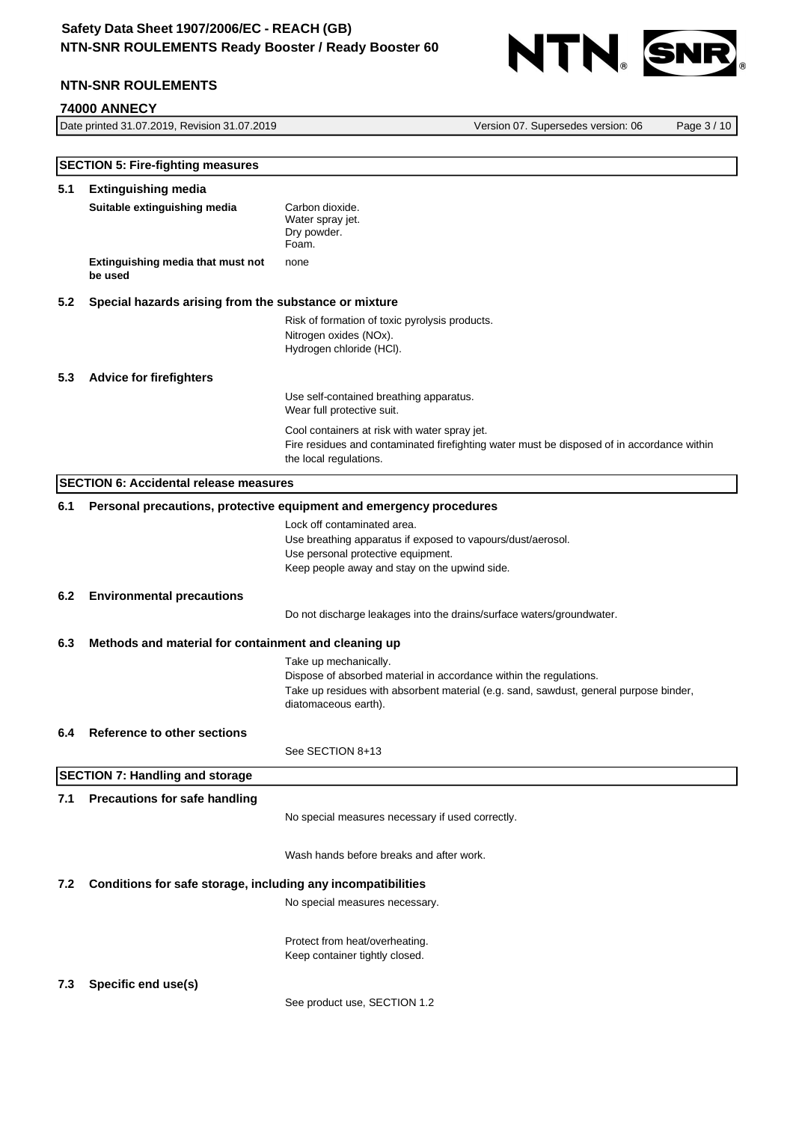

### **74000 ANNECY**

Date printed 31.07.2019, Revision 31.07.2019 Version 07. Supersedes version: 06 Page 3 / 10

|                                                              | <b>SECTION 5: Fire-fighting measures</b>                     |                                                                                                                                                                                                              |  |  |
|--------------------------------------------------------------|--------------------------------------------------------------|--------------------------------------------------------------------------------------------------------------------------------------------------------------------------------------------------------------|--|--|
| 5.1                                                          | <b>Extinguishing media</b>                                   |                                                                                                                                                                                                              |  |  |
|                                                              | Suitable extinguishing media                                 | Carbon dioxide.<br>Water spray jet.<br>Dry powder.<br>Foam.                                                                                                                                                  |  |  |
|                                                              | Extinguishing media that must not<br>be used                 | none                                                                                                                                                                                                         |  |  |
| 5.2<br>Special hazards arising from the substance or mixture |                                                              |                                                                                                                                                                                                              |  |  |
|                                                              |                                                              | Risk of formation of toxic pyrolysis products.<br>Nitrogen oxides (NOx).<br>Hydrogen chloride (HCl).                                                                                                         |  |  |
| 5.3                                                          | <b>Advice for firefighters</b>                               |                                                                                                                                                                                                              |  |  |
|                                                              |                                                              | Use self-contained breathing apparatus.<br>Wear full protective suit.                                                                                                                                        |  |  |
|                                                              |                                                              | Cool containers at risk with water spray jet.<br>Fire residues and contaminated firefighting water must be disposed of in accordance within<br>the local regulations.                                        |  |  |
|                                                              | <b>SECTION 6: Accidental release measures</b>                |                                                                                                                                                                                                              |  |  |
| 6.1                                                          |                                                              | Personal precautions, protective equipment and emergency procedures                                                                                                                                          |  |  |
|                                                              |                                                              | Lock off contaminated area.<br>Use breathing apparatus if exposed to vapours/dust/aerosol.<br>Use personal protective equipment.<br>Keep people away and stay on the upwind side.                            |  |  |
| 6.2                                                          | <b>Environmental precautions</b>                             |                                                                                                                                                                                                              |  |  |
|                                                              |                                                              | Do not discharge leakages into the drains/surface waters/groundwater.                                                                                                                                        |  |  |
| 6.3                                                          | Methods and material for containment and cleaning up         |                                                                                                                                                                                                              |  |  |
|                                                              |                                                              | Take up mechanically.<br>Dispose of absorbed material in accordance within the regulations.<br>Take up residues with absorbent material (e.g. sand, sawdust, general purpose binder,<br>diatomaceous earth). |  |  |
| 6.4                                                          | <b>Reference to other sections</b>                           |                                                                                                                                                                                                              |  |  |
|                                                              |                                                              | See SECTION 8+13                                                                                                                                                                                             |  |  |
|                                                              | <b>SECTION 7: Handling and storage</b>                       |                                                                                                                                                                                                              |  |  |
| 7.1                                                          | <b>Precautions for safe handling</b>                         | No special measures necessary if used correctly.                                                                                                                                                             |  |  |
|                                                              |                                                              | Wash hands before breaks and after work.                                                                                                                                                                     |  |  |
| 7.2                                                          | Conditions for safe storage, including any incompatibilities |                                                                                                                                                                                                              |  |  |
|                                                              |                                                              | No special measures necessary.                                                                                                                                                                               |  |  |
|                                                              |                                                              | Protect from heat/overheating.<br>Keep container tightly closed.                                                                                                                                             |  |  |
| 7.3                                                          | Specific end use(s)                                          | See product use, SECTION 1.2                                                                                                                                                                                 |  |  |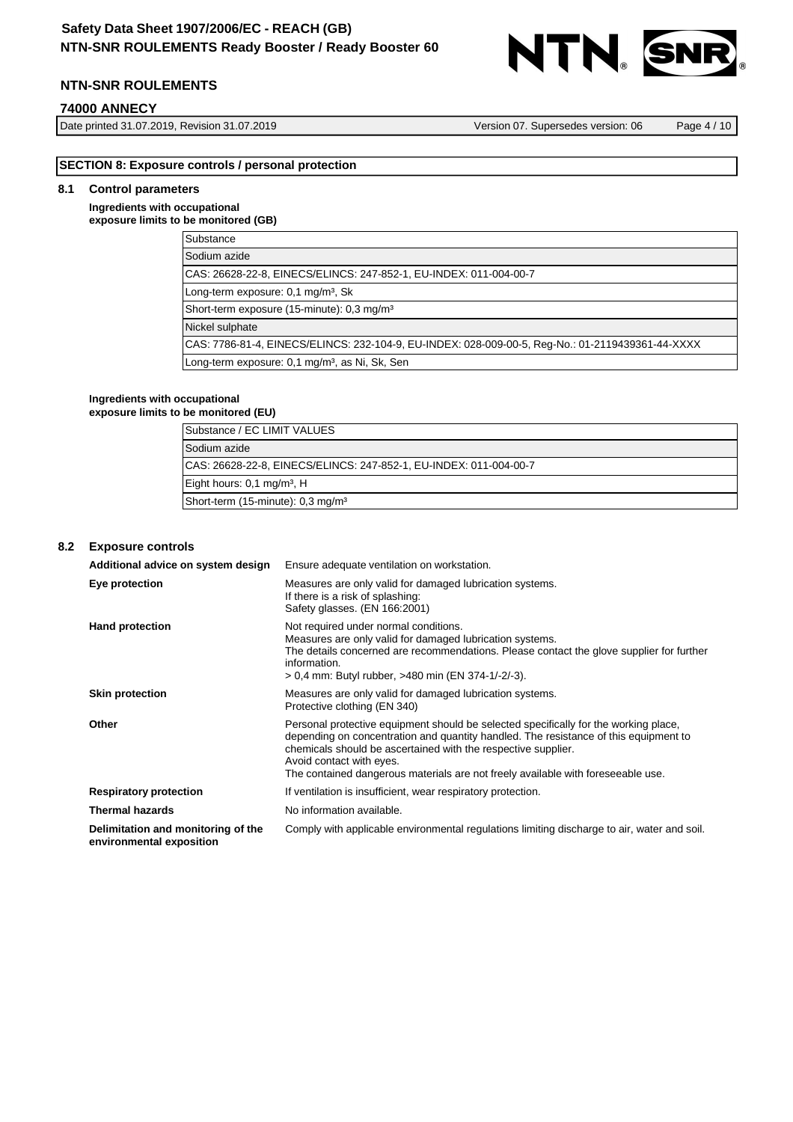

### **74000 ANNECY**

Date printed 31.07.2019, Revision 31.07.2019 Version 07. Supersedes version: 06 Page 4 / 10

# **SECTION 8: Exposure controls / personal protection**

# **8.1 Control parameters**

### **Ingredients with occupational exposure limits to be monitored (GB)**

| Substance                                                                                        |
|--------------------------------------------------------------------------------------------------|
| Sodium azide                                                                                     |
| CAS: 26628-22-8, EINECS/ELINCS: 247-852-1, EU-INDEX: 011-004-00-7                                |
| Long-term exposure: 0,1 mg/m <sup>3</sup> , Sk                                                   |
| Short-term exposure (15-minute): 0.3 mg/m <sup>3</sup>                                           |
| Nickel sulphate                                                                                  |
| CAS: 7786-81-4, EINECS/ELINCS: 232-104-9, EU-INDEX: 028-009-00-5, Req-No.: 01-2119439361-44-XXXX |
| Long-term exposure: 0,1 mg/m <sup>3</sup> , as Ni, Sk, Sen                                       |

#### **Ingredients with occupational exposure limits to be monitored (EU)**

| Substance / EC LIMIT VALUES                                        |
|--------------------------------------------------------------------|
| Sodium azide                                                       |
| ICAS: 26628-22-8, EINECS/ELINCS: 247-852-1, EU-INDEX: 011-004-00-7 |
| Eight hours: 0,1 mg/m <sup>3</sup> , H                             |
| Short-term (15-minute): 0.3 mg/m <sup>3</sup>                      |

### **8.2 Exposure controls**

| Additional advice on system design                             | Ensure adequate ventilation on workstation.                                                                                                                                                                                                                                                                                                                   |
|----------------------------------------------------------------|---------------------------------------------------------------------------------------------------------------------------------------------------------------------------------------------------------------------------------------------------------------------------------------------------------------------------------------------------------------|
| Eye protection                                                 | Measures are only valid for damaged lubrication systems.<br>If there is a risk of splashing:<br>Safety glasses. (EN 166:2001)                                                                                                                                                                                                                                 |
| <b>Hand protection</b>                                         | Not required under normal conditions.<br>Measures are only valid for damaged lubrication systems.<br>The details concerned are recommendations. Please contact the glove supplier for further<br>information.<br>> 0,4 mm: Butyl rubber, >480 min (EN 374-1/-2/-3).                                                                                           |
| <b>Skin protection</b>                                         | Measures are only valid for damaged lubrication systems.<br>Protective clothing (EN 340)                                                                                                                                                                                                                                                                      |
| Other                                                          | Personal protective equipment should be selected specifically for the working place,<br>depending on concentration and quantity handled. The resistance of this equipment to<br>chemicals should be ascertained with the respective supplier.<br>Avoid contact with eyes.<br>The contained dangerous materials are not freely available with foreseeable use. |
| <b>Respiratory protection</b>                                  | If ventilation is insufficient, wear respiratory protection.                                                                                                                                                                                                                                                                                                  |
| <b>Thermal hazards</b>                                         | No information available.                                                                                                                                                                                                                                                                                                                                     |
| Delimitation and monitoring of the<br>environmental exposition | Comply with applicable environmental regulations limiting discharge to air, water and soil.                                                                                                                                                                                                                                                                   |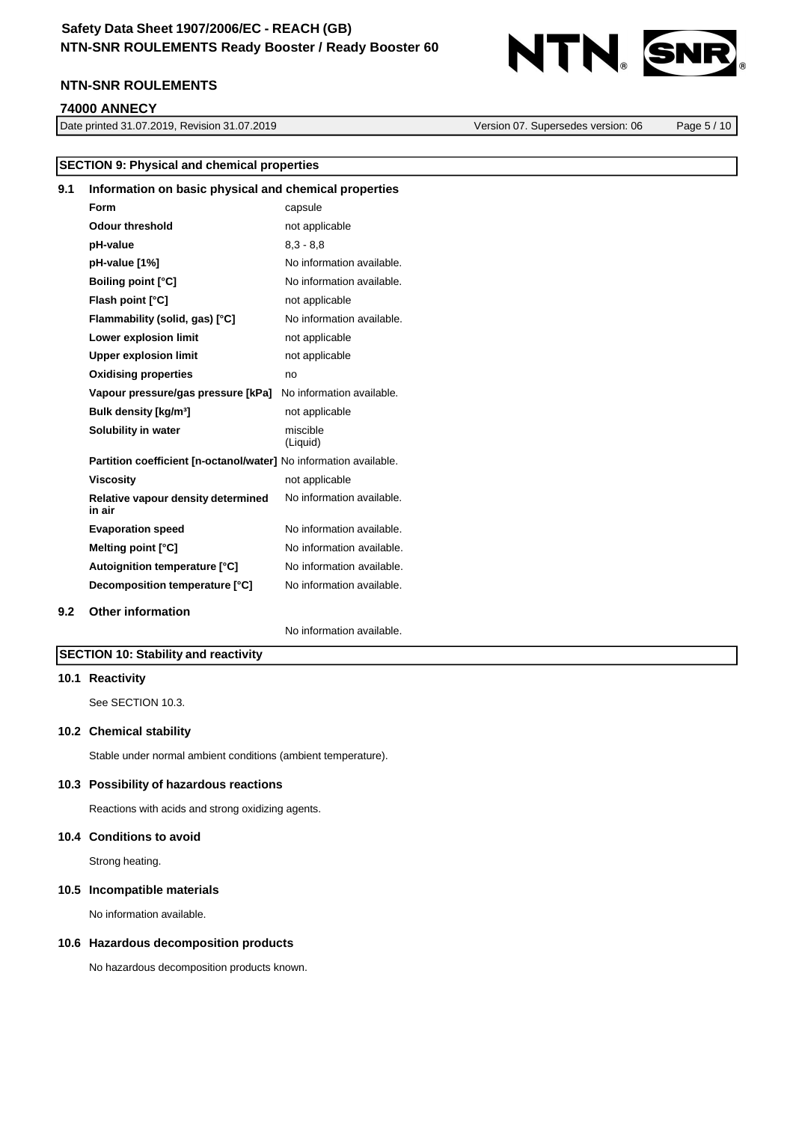

#### **74000 ANNECY**

Date printed 31.07.2019, Revision 31.07.2019 Version 07. Supersedes version: 06 Page 5 / 10

|     | <b>SECTION 9: Physical and chemical properties</b>                |                           |  |
|-----|-------------------------------------------------------------------|---------------------------|--|
| 9.1 | Information on basic physical and chemical properties             |                           |  |
|     | Form                                                              | capsule                   |  |
|     | <b>Odour threshold</b>                                            | not applicable            |  |
|     | pH-value                                                          | $8.3 - 8.8$               |  |
|     | pH-value [1%]                                                     | No information available. |  |
|     | <b>Boiling point [°C]</b>                                         | No information available. |  |
|     | Flash point [°C]                                                  | not applicable            |  |
|     | Flammability (solid, gas) [°C]                                    | No information available. |  |
|     | Lower explosion limit                                             | not applicable            |  |
|     | <b>Upper explosion limit</b>                                      | not applicable            |  |
|     | <b>Oxidising properties</b>                                       | no                        |  |
|     | Vapour pressure/gas pressure [kPa]                                | No information available. |  |
|     | Bulk density [kg/m <sup>3</sup> ]                                 | not applicable            |  |
|     | Solubility in water                                               | miscible<br>(Liquid)      |  |
|     | Partition coefficient [n-octanol/water] No information available. |                           |  |
|     | <b>Viscosity</b>                                                  | not applicable            |  |
|     | Relative vapour density determined<br>in air                      | No information available. |  |
|     | <b>Evaporation speed</b>                                          | No information available. |  |
|     | Melting point [°C]                                                | No information available. |  |
|     | Autoignition temperature [°C]                                     | No information available. |  |
|     | Decomposition temperature [°C]                                    | No information available. |  |
| 9.2 | <b>Other information</b>                                          |                           |  |
|     |                                                                   | No information available. |  |

# **SECTION 10: Stability and reactivity**

### **10.1 Reactivity**

See SECTION 10.3.

### **10.2 Chemical stability**

Stable under normal ambient conditions (ambient temperature).

#### **10.3 Possibility of hazardous reactions**

Reactions with acids and strong oxidizing agents.

### **10.4 Conditions to avoid**

Strong heating.

#### **10.5 Incompatible materials**

No information available.

### **10.6 Hazardous decomposition products**

No hazardous decomposition products known.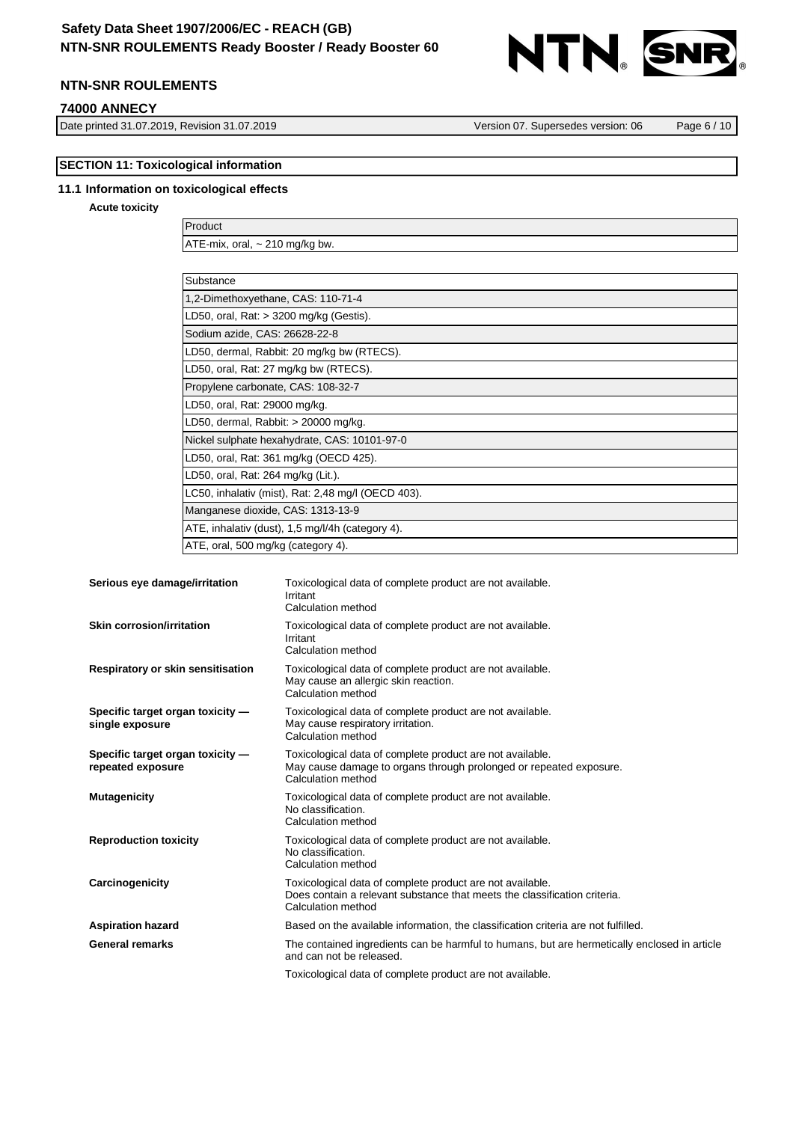# **Safety Data Sheet 1907/2006/EC - REACH (GB) NTN-SNR ROULEMENTS Ready Booster / Ready Booster 60**



# **NTN-SNR ROULEMENTS**

### **74000 ANNECY**

Date printed 31.07.2019, Revision 31.07.2019 Version 07. Supersedes version: 06 Page 6 / 10

# **SECTION 11: Toxicological information**

### **11.1 Information on toxicological effects**

**Acute toxicity**

Product ATE-mix, oral, ~ 210 mg/kg bw.

| Substance                                          |
|----------------------------------------------------|
| 1,2-Dimethoxyethane, CAS: 110-71-4                 |
| LD50, oral, Rat: $>$ 3200 mg/kg (Gestis).          |
| Sodium azide, CAS: 26628-22-8                      |
| LD50, dermal, Rabbit: 20 mg/kg bw (RTECS).         |
| LD50, oral, Rat: 27 mg/kg bw (RTECS).              |
| Propylene carbonate, CAS: 108-32-7                 |
| LD50, oral, Rat: 29000 mg/kg.                      |
| LD50, dermal, Rabbit: > 20000 mg/kg.               |
| Nickel sulphate hexahydrate, CAS: 10101-97-0       |
| LD50, oral, Rat: 361 mg/kg (OECD 425).             |
| LD50, oral, Rat: 264 mg/kg (Lit.).                 |
| LC50, inhalativ (mist), Rat: 2,48 mg/l (OECD 403). |
| Manganese dioxide, CAS: 1313-13-9                  |
| ATE, inhalativ (dust), 1,5 mg/l/4h (category 4).   |
| ATE, oral, 500 mg/kg (category 4).                 |
|                                                    |

| Serious eye damage/irritation                         | Toxicological data of complete product are not available.<br>Irritant<br>Calculation method                                                                  |
|-------------------------------------------------------|--------------------------------------------------------------------------------------------------------------------------------------------------------------|
| <b>Skin corrosion/irritation</b>                      | Toxicological data of complete product are not available.<br>Irritant<br>Calculation method                                                                  |
| Respiratory or skin sensitisation                     | Toxicological data of complete product are not available.<br>May cause an allergic skin reaction.<br>Calculation method                                      |
| Specific target organ toxicity -<br>single exposure   | Toxicological data of complete product are not available.<br>May cause respiratory irritation.<br>Calculation method                                         |
| Specific target organ toxicity -<br>repeated exposure | Toxicological data of complete product are not available.<br>May cause damage to organs through prolonged or repeated exposure.<br>Calculation method        |
| <b>Mutagenicity</b>                                   | Toxicological data of complete product are not available.<br>No classification.<br>Calculation method                                                        |
| <b>Reproduction toxicity</b>                          | Toxicological data of complete product are not available.<br>No classification.<br>Calculation method                                                        |
| Carcinogenicity                                       | Toxicological data of complete product are not available.<br>Does contain a relevant substance that meets the classification criteria.<br>Calculation method |
| <b>Aspiration hazard</b>                              | Based on the available information, the classification criteria are not fulfilled.                                                                           |
| <b>General remarks</b>                                | The contained ingredients can be harmful to humans, but are hermetically enclosed in article<br>and can not be released.                                     |
|                                                       | Toxicological data of complete product are not available.                                                                                                    |
|                                                       |                                                                                                                                                              |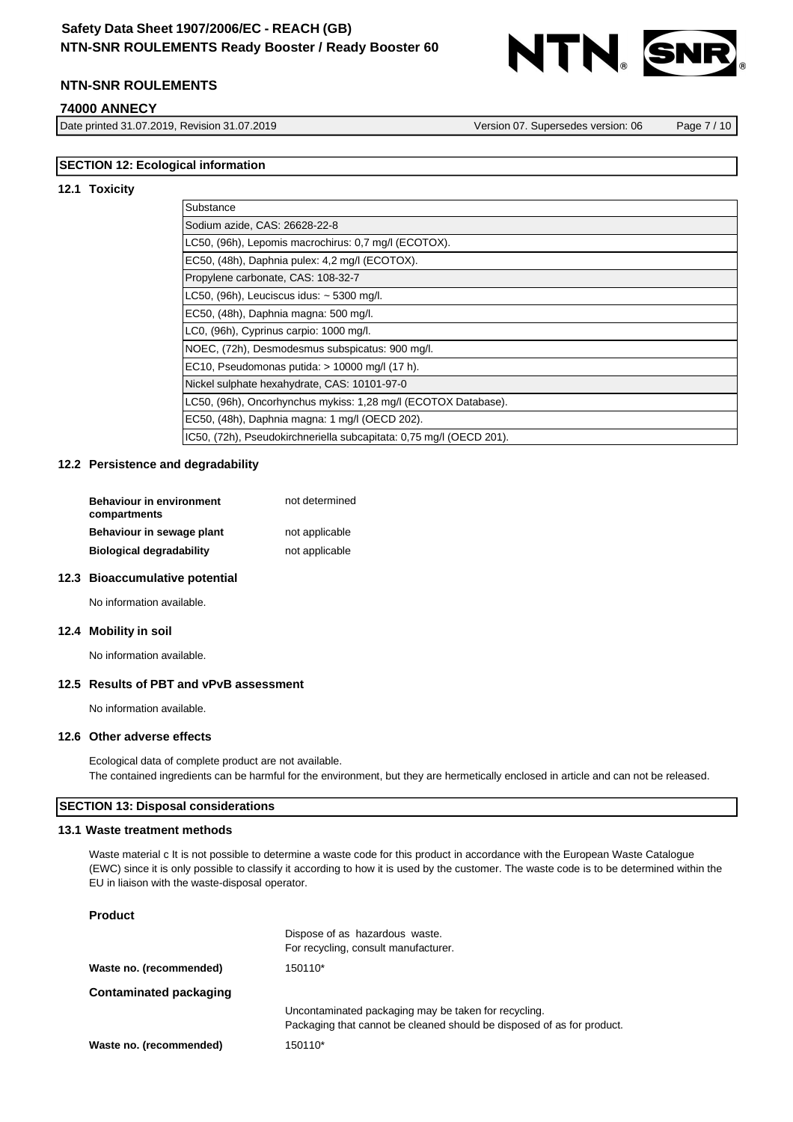

### **74000 ANNECY**

Date printed 31.07.2019, Revision 31.07.2019 Version 07. Supersedes version: 06 Page 7 / 10

### **SECTION 12: Ecological information**

#### **12.1 Toxicity**

| Substance                                                           |
|---------------------------------------------------------------------|
| Sodium azide, CAS: 26628-22-8                                       |
| LC50, (96h), Lepomis macrochirus: 0,7 mg/l (ECOTOX).                |
| EC50, (48h), Daphnia pulex: 4,2 mg/l (ECOTOX).                      |
| Propylene carbonate, CAS: 108-32-7                                  |
| LC50, $(96h)$ , Leuciscus idus: $\sim$ 5300 mg/l.                   |
| EC50, (48h), Daphnia magna: 500 mg/l.                               |
| LC0, (96h), Cyprinus carpio: 1000 mg/l.                             |
| NOEC, (72h), Desmodesmus subspicatus: 900 mg/l.                     |
| EC10, Pseudomonas putida: $> 10000$ mg/l (17 h).                    |
| Nickel sulphate hexahydrate, CAS: 10101-97-0                        |
| LC50, (96h), Oncorhynchus mykiss: 1,28 mg/l (ECOTOX Database).      |
| EC50, (48h), Daphnia magna: 1 mg/l (OECD 202).                      |
| IC50, (72h), Pseudokirchneriella subcapitata: 0,75 mg/l (OECD 201). |

# **12.2 Persistence and degradability**

| <b>Behaviour in environment</b><br>compartments | not determined |
|-------------------------------------------------|----------------|
| Behaviour in sewage plant                       | not applicable |
| <b>Biological degradability</b>                 | not applicable |

#### **12.3 Bioaccumulative potential**

No information available.

#### **12.4 Mobility in soil**

No information available.

#### **12.5 Results of PBT and vPvB assessment**

No information available.

### **12.6 Other adverse effects**

Ecological data of complete product are not available. The contained ingredients can be harmful for the environment, but they are hermetically enclosed in article and can not be released.

### **SECTION 13: Disposal considerations**

### **13.1 Waste treatment methods**

Waste material c It is not possible to determine a waste code for this product in accordance with the European Waste Catalogue (EWC) since it is only possible to classify it according to how it is used by the customer. The waste code is to be determined within the EU in liaison with the waste-disposal operator.

### **Product**

|                               | Dispose of as hazardous waste.<br>For recycling, consult manufacturer.                                                         |
|-------------------------------|--------------------------------------------------------------------------------------------------------------------------------|
| Waste no. (recommended)       | 150110*                                                                                                                        |
| <b>Contaminated packaging</b> |                                                                                                                                |
|                               | Uncontaminated packaging may be taken for recycling.<br>Packaging that cannot be cleaned should be disposed of as for product. |
| Waste no. (recommended)       | 150110*                                                                                                                        |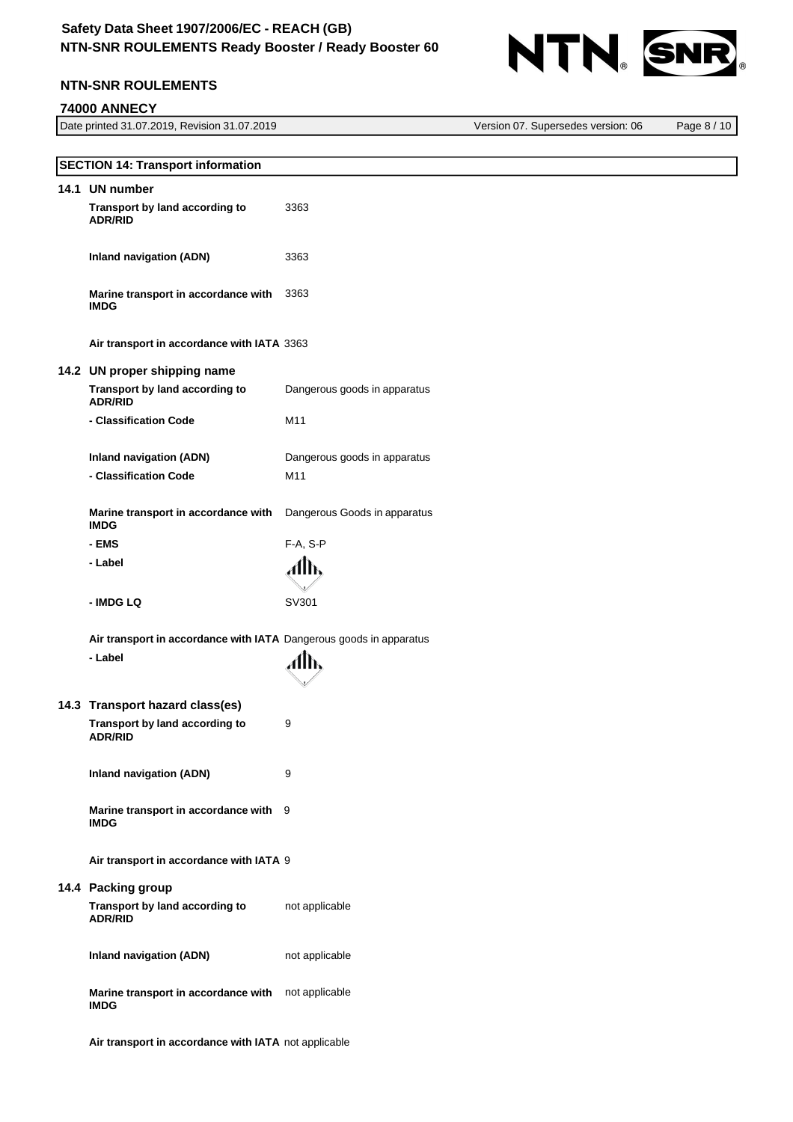

Version 07. Supersedes version: 06 Page 8 / 10

# **NTN-SNR ROULEMENTS**

# **74000 ANNECY**

| Date printed 31.07.2019, Revision 31.07.2019 |  |
|----------------------------------------------|--|
|                                              |  |

| <b>SECTION 14: Transport information</b>                           |                              |
|--------------------------------------------------------------------|------------------------------|
|                                                                    |                              |
| 14.1 UN number<br>Transport by land according to<br><b>ADR/RID</b> | 3363                         |
| <b>Inland navigation (ADN)</b>                                     | 3363                         |
| Marine transport in accordance with<br><b>IMDG</b>                 | 3363                         |
| Air transport in accordance with IATA 3363                         |                              |
| 14.2 UN proper shipping name                                       |                              |
| Transport by land according to<br><b>ADR/RID</b>                   | Dangerous goods in apparatus |
| - Classification Code                                              | M11                          |
| <b>Inland navigation (ADN)</b>                                     | Dangerous goods in apparatus |
| - Classification Code                                              | M11                          |
| Marine transport in accordance with<br><b>IMDG</b>                 | Dangerous Goods in apparatus |
| - EMS                                                              | F-A, S-P                     |
| - Label                                                            | Allh,                        |
| - IMDG LQ                                                          | SV301                        |
| Air transport in accordance with IATA Dangerous goods in apparatus |                              |
| - Label                                                            | Allh,                        |
| 14.3 Transport hazard class(es)                                    |                              |
| Transport by land according to<br><b>ADR/RID</b>                   | 9                            |
| <b>Inland navigation (ADN)</b>                                     | 9                            |
| Marine transport in accordance with 9<br><b>IMDG</b>               |                              |
| Air transport in accordance with IATA 9                            |                              |
| 14.4 Packing group                                                 |                              |
| Transport by land according to<br><b>ADR/RID</b>                   | not applicable               |
| <b>Inland navigation (ADN)</b>                                     | not applicable               |
| Marine transport in accordance with<br><b>IMDG</b>                 | not applicable               |
| Air transport in accordance with IATA not applicable               |                              |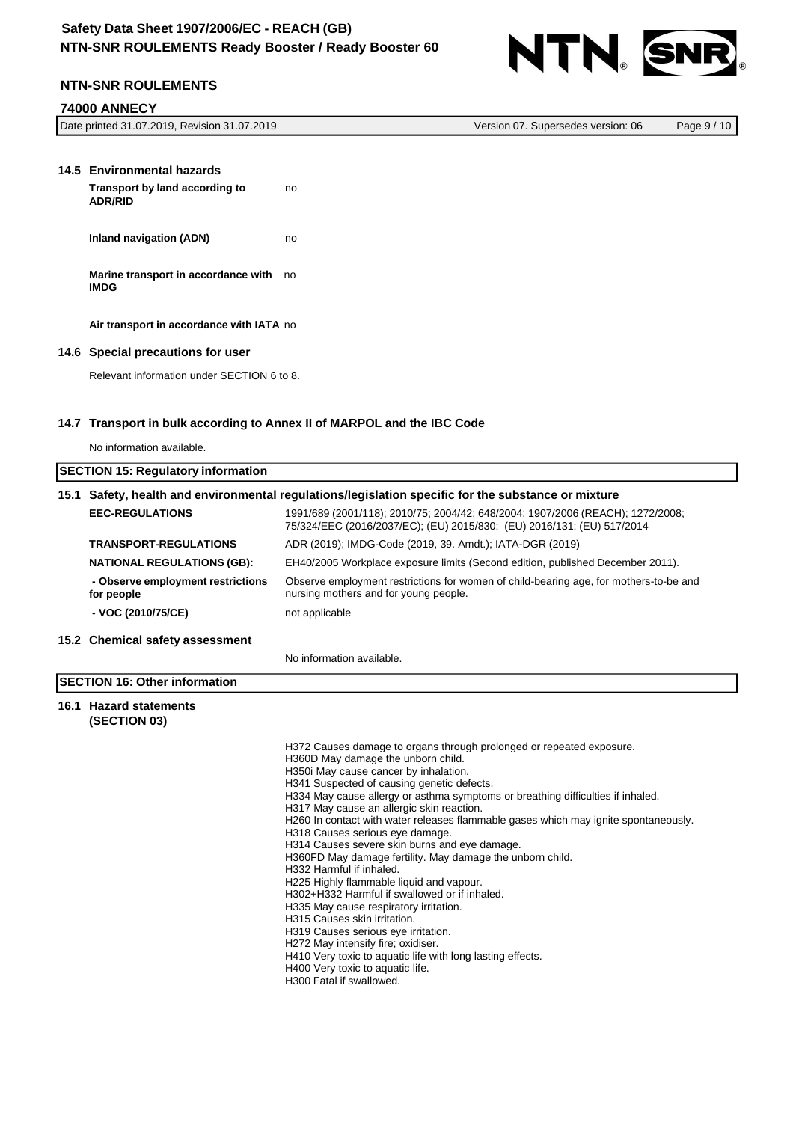

# **NTN-SNR ROULEMENTS**

### **74000 ANNECY**

|  | Date printed 31.07.2019, Revision 31.07.2019 | Version 07. Supersedes version: 06 | Page 9 / 10 |
|--|----------------------------------------------|------------------------------------|-------------|
|--|----------------------------------------------|------------------------------------|-------------|

<span id="page-8-0"></span>

| 14.5 Environmental hazards                            |    |
|-------------------------------------------------------|----|
| Transport by land according to<br><b>ADR/RID</b>      | no |
| Inland navigation (ADN)                               | no |
| Marine transport in accordance with no<br><b>IMDG</b> |    |
| Air transport in accordance with IATA no              |    |
| 14.6 Special precautions for user                     |    |
| Relevant information under SECTION 6 to 8.            |    |

### **14.7 Transport in bulk according to Annex II of MARPOL and the IBC Code**

No information available.

| <b>SECTION 15: Regulatory information</b> |                                                                                                     |                                                                                                                                                          |
|-------------------------------------------|-----------------------------------------------------------------------------------------------------|----------------------------------------------------------------------------------------------------------------------------------------------------------|
|                                           | 15.1 Safety, health and environmental regulations/legislation specific for the substance or mixture |                                                                                                                                                          |
|                                           | <b>EEC-REGULATIONS</b>                                                                              | 1991/689 (2001/118); 2010/75; 2004/42; 648/2004; 1907/2006 (REACH); 1272/2008;<br>75/324/EEC (2016/2037/EC); (EU) 2015/830; (EU) 2016/131; (EU) 517/2014 |
|                                           | <b>TRANSPORT-REGULATIONS</b>                                                                        | ADR (2019); IMDG-Code (2019, 39. Amdt.); IATA-DGR (2019)                                                                                                 |
|                                           | <b>NATIONAL REGULATIONS (GB):</b>                                                                   | EH40/2005 Workplace exposure limits (Second edition, published December 2011).                                                                           |
|                                           | - Observe employment restrictions<br>for people                                                     | Observe employment restrictions for women of child-bearing age, for mothers-to-be and<br>nursing mothers and for young people.                           |
|                                           | - VOC (2010/75/CE)                                                                                  | not applicable                                                                                                                                           |
|                                           | 15.2 Chemical safety assessment                                                                     |                                                                                                                                                          |
|                                           |                                                                                                     | No information available.                                                                                                                                |
| <b>ISECTION 16: Other information</b>     |                                                                                                     |                                                                                                                                                          |
|                                           | 16.1 Hazard statements<br>(SECTION 03)                                                              |                                                                                                                                                          |

H372 Causes damage to organs through prolonged or repeated exposure. H360D May damage the unborn child. H350i May cause cancer by inhalation. H341 Suspected of causing genetic defects. H334 May cause allergy or asthma symptoms or breathing difficulties if inhaled. H317 May cause an allergic skin reaction. H260 In contact with water releases flammable gases which may ignite spontaneously. H318 Causes serious eye damage. H314 Causes severe skin burns and eye damage. H360FD May damage fertility. May damage the unborn child. H332 Harmful if inhaled. H225 Highly flammable liquid and vapour. H302+H332 Harmful if swallowed or if inhaled. H335 May cause respiratory irritation. H315 Causes skin irritation. H319 Causes serious eye irritation. H272 May intensify fire; oxidiser. H410 Very toxic to aquatic life with long lasting effects. H400 Very toxic to aquatic life. H300 Fatal if swallowed.